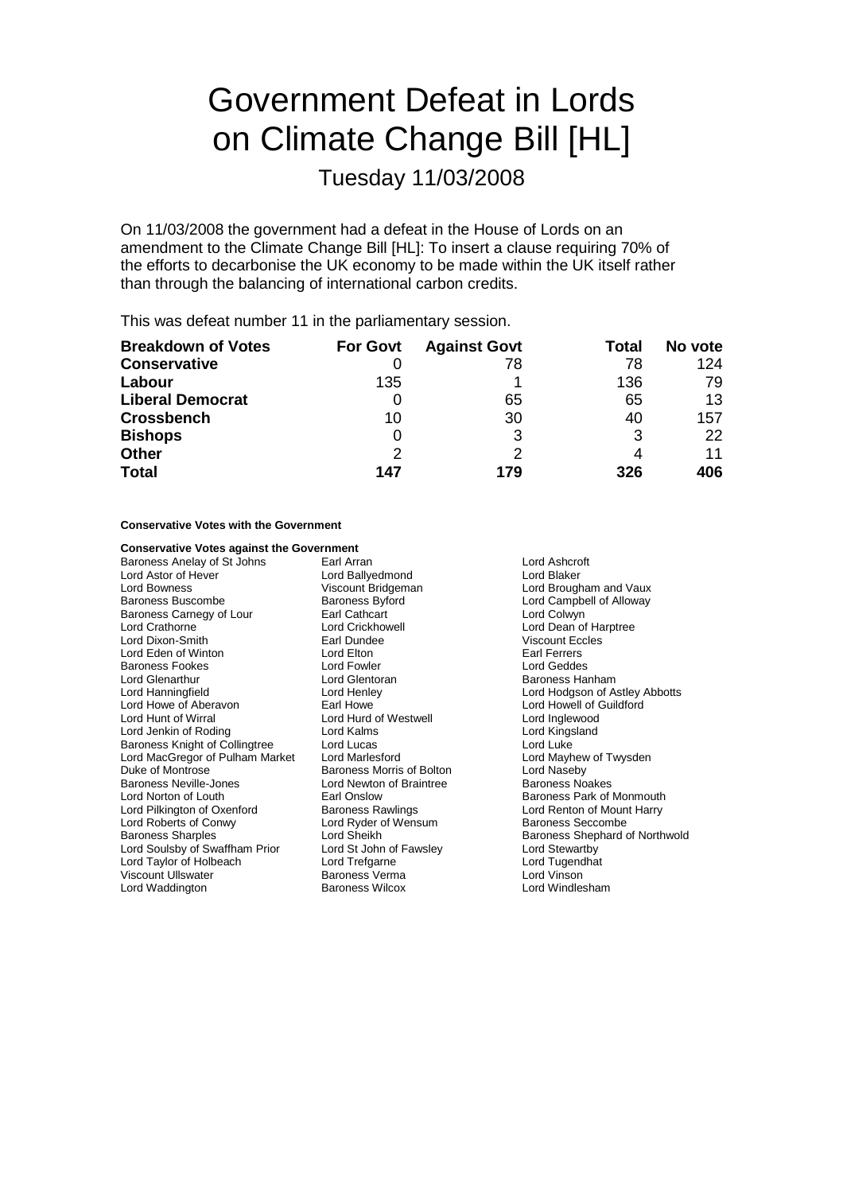# Government Defeat in Lords on Climate Change Bill [HL]

Tuesday 11/03/2008

On 11/03/2008 the government had a defeat in the House of Lords on an amendment to the Climate Change Bill [HL]: To insert a clause requiring 70% of the efforts to decarbonise the UK economy to be made within the UK itself rather than through the balancing of international carbon credits.

This was defeat number 11 in the parliamentary session.

| <b>Breakdown of Votes</b> | <b>For Govt</b> | <b>Against Govt</b> | Total | No vote |
|---------------------------|-----------------|---------------------|-------|---------|
| <b>Conservative</b>       |                 | 78                  | 78    | 124     |
| Labour                    | 135             |                     | 136   | 79      |
| <b>Liberal Democrat</b>   |                 | 65                  | 65    | 13      |
| <b>Crossbench</b>         | 10              | 30                  | 40    | 157     |
| <b>Bishops</b>            | 0               | 3                   |       | 22      |
| <b>Other</b>              | 2               |                     |       | 11      |
| <b>Total</b>              | 147             | 179                 | 326   | 406     |

## **Conservative Votes with the Government**

# **Conservative Votes against the Government**

Baroness Anelay of St Johns Earl Arran Earl Arran Lord Ashcroft<br>
Lord Astor of Hever **Earl Arran Lord Ballyedmond** Lord Blaker Lord Astor of Hever **Lord Ballyedmond**<br>
Lord Bowness **Lord Britannic Lord Britannic Lord Britannic Lord Britannic Lord Britannic Lord Britannic Lord B** Lord Bowness Viscount Bridgeman Lord Brougham and Vaux Baroness Carnegy of Lour Earl Cathcart Lord Crathorne **Lord Crickhowell** Lord Crickhowell **Lord Dean of Harptree**<br>
Lord Dixon-Smith **Lord Crickhowell** Earl Dundee **Lord Crickhowell** Viscount Eccles Lord Eden of Winton Lord Elton<br>Baroness Fookes **Lord Fowler** Baroness Fookes Lord Fowler Lord Geddes Lord Glenarthur **Lord Glentoran** Communications are all the Baroness Hanham<br>
Lord Hanningfield **Lord Henley** Communications and Hanham Lord Henley Communications and Alberta Communications and Alberta Communications and Al Lord Howe of Aberavon Earl Howe Lord Hunt of Wirral **Lord Hurd of Westwell** Lord Hurd of Westwell Lord Inglewood<br>
Lord Jenkin of Roding **Lord Kalmend Lord Collect Lord Kingsland** Lord Jenkin of Roding **Lord Kalms** Lord Calms Lord Kings<br>
Baroness Knight of Collingtree Lord Lucas Lord Lucas Lord Luke Baroness Knight of Collingtree Lord Lucas Lord Luke Lord MacGregor of Pulham Market Lord Marlesford Duke of Montrose **Baroness Morris of Bolton** Lord Naseby<br>
Baroness Neville-Jones **Baroness Lord Newton of Braintree** Baroness Noakes Baroness Neville-Jones<br>
Lord Norton of Louth<br>
Farl Onslow<br>
Farl Onslow Lord Pilkington of Oxenford Baroness Rawlings **Lord Renton of Mount Harry**<br>
Lord Roberts of Conwy Lord Ryder of Wensum Baroness Seccombe Lord Roberts of Conwy<br>
Baroness Sharples<br>
Lord Sheikh<br>
Lord Sheikh Lord Soulsby of Swaffham Prior Lord Taylor of Holbeach Lord Trefgarne Lord Tugendhat Viscount Ullswater Lord Waddington Baroness Wilcox Lord Windlesham

Earl Dundee Viscount Eccles<br>
Lord Elton<br>
Lord Elton Communication-Smith Earl Ferrers

Lord Campbell of Alloway<br>Lord Colwyn Lord Hodgson of Astley Abbotts<br>Lord Howell of Guildford Baroness Park of Monmouth Lord Sheikh Baroness Shephard of Northwold<br>
Lord St John of Fawsley<br>
Lord Stewartby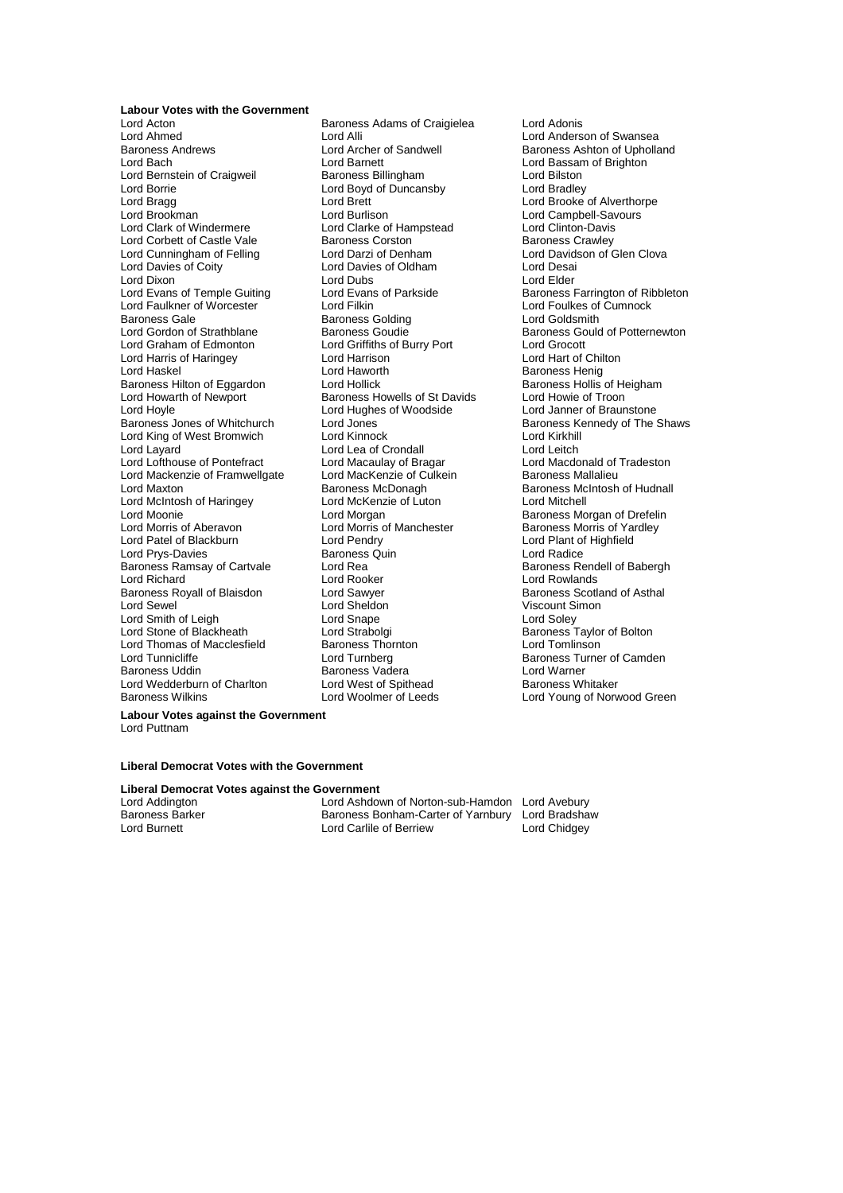**Labour Votes with the Government** Lord Acton Baroness Adams of Craigielea Lord Adonis Lord Ahmed Lord Alli Lord Alli Lord Anderson of Swansea<br>Baroness Andrews Lord Archer of Sandwell Baroness Ashton of Upholla Baroness Andrews **Example 2** Lord Archer of Sandwell **Baroness Ashton of Upholland Lord Baroness** Ashton of Upholland Lord Bassam of Brighton Lord Bernstein of Craigweil Baroness Billingham Lord Bilston<br>Lord Boyd of Duncanshy Lord Bradley Lord Bragg Lord Brett Lord Brett Lord Brooke of Alverthorpe<br>
Lord Brookman Lord Burlison Lord Burlison Lord Campbell-Savours Lord Brookman **Lord Burlison** Lord Burlison Lord Campbell-Savours<br>
Lord Clark of Windermere Lord Clarke of Hampstead Lord Clinton-Davis Lord Corbett of Castle Vale Baroness Corston Corporation Baroness Crawley<br>
Lord Cunningham of Felling Lord Darzi of Denham Lord Davidson of Glen Clova Lord Cunningham of Felling<br>Lord Davies of Coity Lord Dixon Lord Dubs Lord Elder Lord Evans of Temple Guiting Lord Evans of Parkside Baroness Farrington of Ribbleton<br>
Lord Faulkner of Worcester Lord Filkin Lord Fulkin Lord Foulkes of Cumnock Lord Faulkner of Worcester <sup>Y</sup> Lord Filkin Lord Foulkes of Cumnock<br>Baroness Gale Baroness Golding Lord Goldsmith Baroness Gale Baroness Golding<br>
Lord Gordon of Strathblane Baroness Goudie Lord Graham of Edmonton Lord Griffiths of Burry Port Lord Grocott Lord Harris of Haringey Lord Harrison<br>
Lord Haskel Chilton Cord Haworth Baroness Hilton of Eggardon Lord Hollick Baroness Hollis of Heigham Baroness Hollis of Heigham Baroness Howells of St Davids Lord Howie of Troon Lord Howarth of Newport Baroness Howells of St Davids<br>
Lord Hoyle Cord Hughes of Woodside Lord Hoyle Lord Hughes of Woodside Lord Janner of Braunstone Lord King of West Bromwich Lord Kinnock Lord Kirkhill Lord Layard<br>
Lord Lofthouse of Pontefract 
Lord Macaulay of Bragar<br>
Lord Macaulay of Bragar Lord Mackenzie of Framwellgate Lord MacKenzie of Culture<br>Lord Maxton Baroness McDonagh Lord McIntosh of Haringey Lord McKenz<br>Lord Moonie **Luton Lord Morgan** Lord Moonie <sup>C</sup><sub>2</sub> (Lord Morgan And Cord Morgan Baroness Morgan of Drefelin<br>Lord Morris of Aberavon Lord Morris of Manchester **Baroness Morris of Yardley** Lord Morris of Aberavon Lord Morris of Manchester<br>
Lord Patel of Blackburn Lord Pendry Lord Prys-Davies Baroness Quin Lord Radice Baroness Ramsay of Cartvale Lord Rea<br>Lord Richard Lord Booker Lord Richard Lord Rooker Lord Rowlands Baroness Royall of Blaisdon Lord Sawyer **Baroness Scotland of Asthal**<br>
Lord Sewel Lord Sheldon **Baroness** Scotland of Asthal Lord Smith of Leigh Lord Snape<br>
Lord Stone of Blackheath Lord Strabolgi Lord Thomas of Macclesfield<br>Lord Tunnicliffe Baroness Uddin Baroness Vadera Lord Warner Lord Warner<br>
Baroness Whitaker Lord West of Spithead Baroness Whitaker Lord Wedderburn of Charlton Lord West of Spithead<br>Baroness Wilkins **Lord Woolmer of Leeds** 

Lord Barnett<br>
Baroness Billingham<br>
Lord Bilston<br>
Lord Bilston Lord Boyd of Duncansby Lord Clarke of Hampstead Lord Clinton-Davis<br>
Baroness Corston Baroness Crawley Lord Davies of Oldham Lord Desai<br>
Lord Dubs<br>
Lord Elder Lord Haskel Lord Haworth Baroness Henig Lord Pendry<br>
Baroness Quin **Communist Contract Pendre Pendre Pendre Pendre Pendre Pendre Pendre Pendre Pendre Pendre Pendre** Lord Sewel Lord Sheldon Viscount Simon Lord Strabolgi **Channess Example 1** Baroness Taylor of Bolton<br>Baroness Thornton **Baroness Thornton** 

Baroness Gould of Potternewton Baroness Kennedy of The Shaws Lord Macaulay of Bragar **Lord Macdonald of Tradeston**<br>Lord MacKenzie of Culkein **Baroness Mallalieu** Baroness McDonagh Baroness McIntosh of Hudnall<br>
Lord McKenzie of Luton<br>
Lord Mitchell Lord Turnberg Baroness Turner of Camden Lord Young of Norwood Green

**Labour Votes against the Government** Lord Puttnam

### **Liberal Democrat Votes with the Government**

#### **Liberal Democrat Votes against the Government**

Lord Addington Lord Ashdown of Norton-sub-Hamdon Lord Avebury<br>Baroness Barker Baroness Bonham-Carter of Yarnbury Lord Bradshav Baroness Barker Baroness Bonham-Carter of Yarnbury Lord Bradshaw<br>Lord Burnett Lord Cartile of Berriew Lord Chidgey Lord Carlile of Berriew